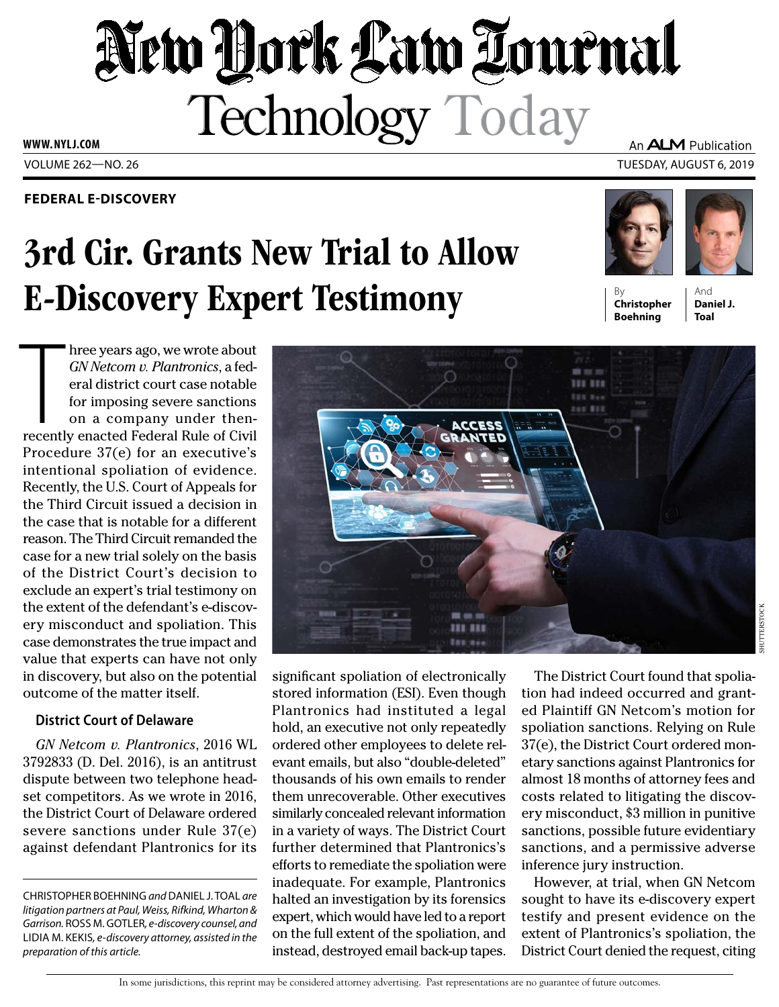# New York Law Tournal Technology Today

**WWW. NYLJ.COM**

### **FEDERAL E-DISCOVERY**

# 3rd Cir. Grants New Trial to Allow **E-Discovery Expert Testimony**

An **ALM** Publication

VOLUME 262—NO. 26 TUESDAY, AUGUST 6, 2019





**Christopher Boehning**

And **Daniel J. Toal**

SHUTTERSTOCK

**JUTTERSTOCK** 

hree years ago, we wrote about<br>*GN Netcom v. Plantronics*, a federal district court case notable<br>for imposing severe sanctions<br>on a company under then-<br>recently enacted Federal Rule of Civil hree years ago, we wrote about *GN Netcom v. Plantronics*, a federal district court case notable for imposing severe sanctions on a company under then-Procedure 37(e) for an executive's intentional spoliation of evidence. Recently, the U.S. Court of Appeals for the Third Circuit issued a decision in the case that is notable for a different reason. The Third Circuit remanded the case for a new trial solely on the basis of the District Court's decision to exclude an expert's trial testimony on the extent of the defendant's e-discovery misconduct and spoliation. This case demonstrates the true impact and value that experts can have not only in discovery, but also on the potential outcome of the matter itself.

## **District Court of Delaware**

*GN Netcom v. Plantronics*, 2016 WL 3792833 (D. Del. 2016), is an antitrust dispute between two telephone headset competitors. As we wrote in 2016, the District Court of Delaware ordered severe sanctions under Rule 37(e) against defendant Plantronics for its

CHRISTOPHER BOEHNING *and* DANIEL J. TOAL *are litigation partners at Paul, Weiss, Rifkind, Wharton & Garrison.* ROSS M. GOTLER*, e-discovery counsel, and*  LIDIA M. KEKIS*, e-discovery attorney, assisted in the preparation of this article.*



significant spoliation of electronically stored information (ESI). Even though Plantronics had instituted a legal hold, an executive not only repeatedly ordered other employees to delete relevant emails, but also "double-deleted" thousands of his own emails to render them unrecoverable. Other executives similarly concealed relevant information in a variety of ways. The District Court further determined that Plantronics's efforts to remediate the spoliation were inadequate. For example, Plantronics halted an investigation by its forensics expert, which would have led to a report on the full extent of the spoliation, and instead, destroyed email back-up tapes.

The District Court found that spoliation had indeed occurred and granted Plaintiff GN Netcom's motion for spoliation sanctions. Relying on Rule 37(e), the District Court ordered monetary sanctions against Plantronics for almost 18 months of attorney fees and costs related to litigating the discovery misconduct, \$3 million in punitive sanctions, possible future evidentiary sanctions, and a permissive adverse inference jury instruction.

However, at trial, when GN Netcom sought to have its e-discovery expert testify and present evidence on the extent of Plantronics's spoliation, the District Court denied the request, citing